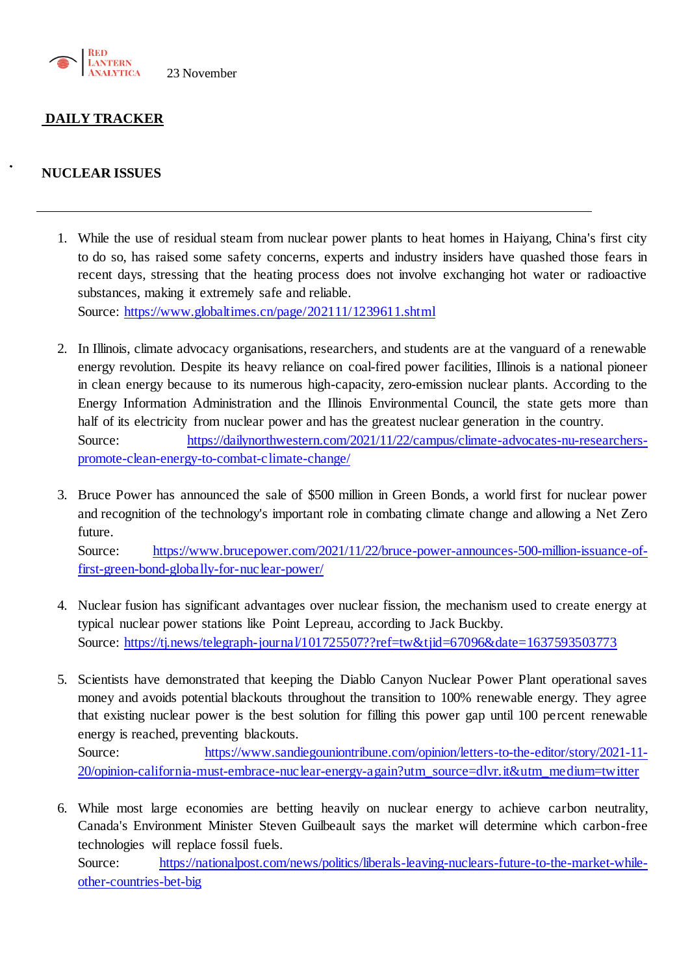

## **DAILY TRACKER**

### **NUCLEAR ISSUES**

- 1. While the use of residual steam from nuclear power plants to heat homes in Haiyang, China's first city to do so, has raised some safety concerns, experts and industry insiders have quashed those fears in recent days, stressing that the heating process does not involve exchanging hot water or radioactive substances, making it extremely safe and reliable. Source:<https://www.globaltimes.cn/page/202111/1239611.shtml>
- 2. In Illinois, climate advocacy organisations, researchers, and students are at the vanguard of a renewable energy revolution. Despite its heavy reliance on coal-fired power facilities, Illinois is a national pioneer in clean energy because to its numerous high-capacity, zero-emission nuclear plants. According to the Energy Information Administration and the Illinois Environmental Council, the state gets more than half of its electricity from nuclear power and has the greatest nuclear generation in the country. Source: [https://dailynorthwestern.com/2021/11/22/campus/climate-advocates-nu-researchers](https://dailynorthwestern.com/2021/11/22/campus/climate-advocates-nu-researchers-promote-clean-energy-to-combat-climate-change/)[promote-clean-energy-to-combat-climate-change/](https://dailynorthwestern.com/2021/11/22/campus/climate-advocates-nu-researchers-promote-clean-energy-to-combat-climate-change/)
- 3. Bruce Power has announced the sale of \$500 million in Green Bonds, a world first for nuclear power and recognition of the technology's important role in combating climate change and allowing a Net Zero future.

Source: [https://www.brucepower.com/2021/11/22/bruce-power-announces-500-million-issuance-of](https://www.brucepower.com/2021/11/22/bruce-power-announces-500-million-issuance-of-first-green-bond-globally-for-nuclear-power/)[first-green-bond-globally-for-nuclear-power/](https://www.brucepower.com/2021/11/22/bruce-power-announces-500-million-issuance-of-first-green-bond-globally-for-nuclear-power/)

- 4. Nuclear fusion has significant advantages over nuclear fission, the mechanism used to create energy at typical nuclear power stations like Point Lepreau, according to Jack Buckby. Source:<https://tj.news/telegraph-journal/101725507??ref=tw&tjid=67096&date=1637593503773>
- 5. Scientists have demonstrated that keeping the Diablo Canyon Nuclear Power Plant operational saves money and avoids potential blackouts throughout the transition to 100% renewable energy. They agree that existing nuclear power is the best solution for filling this power gap until 100 percent renewable energy is reached, preventing blackouts.

Source: [https://www.sandiegouniontribune.com/opinion/letters-to-the-editor/story/2021-11-](https://www.sandiegouniontribune.com/opinion/letters-to-the-editor/story/2021-11-20/opinion-california-must-embrace-nuclear-energy-again?utm_source=dlvr.it&utm_medium=twitter) [20/opinion-california-must-embrace-nuclear-energy-again?utm\\_source=dlvr.it&utm\\_medium=twitter](https://www.sandiegouniontribune.com/opinion/letters-to-the-editor/story/2021-11-20/opinion-california-must-embrace-nuclear-energy-again?utm_source=dlvr.it&utm_medium=twitter)

6. While most large economies are betting heavily on nuclear energy to achieve carbon neutrality, Canada's Environment Minister Steven Guilbeault says the market will determine which carbon-free technologies will replace fossil fuels.

Source: [https://nationalpost.com/news/politics/liberals-leaving-nuclears-future-to-the-market-while](https://nationalpost.com/news/politics/liberals-leaving-nuclears-future-to-the-market-while-other-countries-bet-big)[other-countries-bet-big](https://nationalpost.com/news/politics/liberals-leaving-nuclears-future-to-the-market-while-other-countries-bet-big)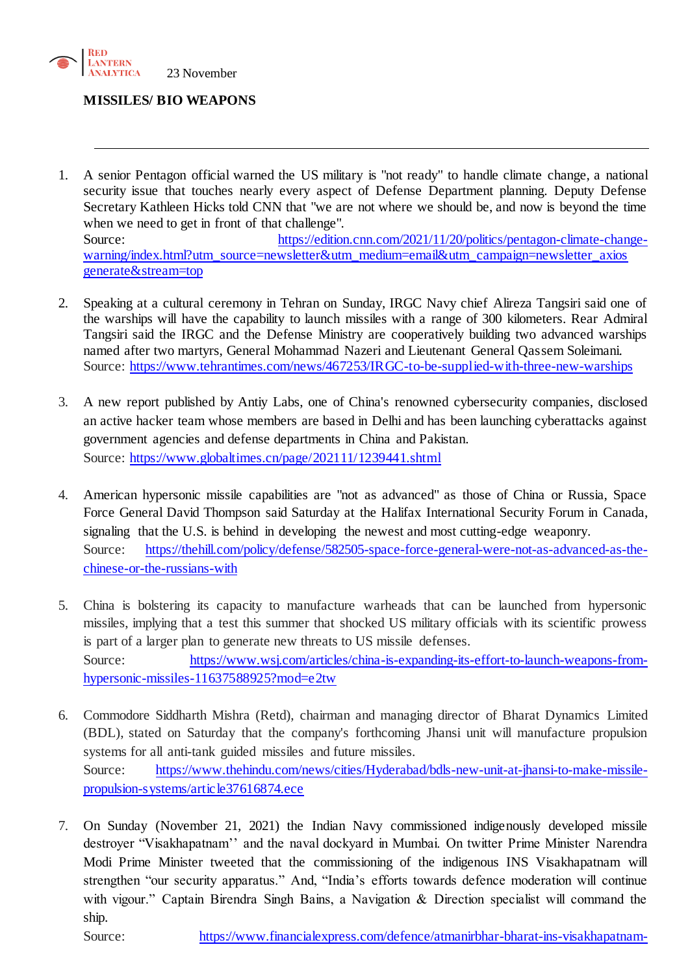

#### **MISSILES/ BIO WEAPONS**

- 1. A senior Pentagon official warned the US military is "not ready" to handle climate change, a national security issue that touches nearly every aspect of Defense Department planning. Deputy Defense Secretary Kathleen Hicks told CNN that "we are not where we should be, and now is beyond the time when we need to get in front of that challenge". Source: [https://edition.cnn.com/2021/11/20/politics/pentagon-climate-change](https://edition.cnn.com/2021/11/20/politics/pentagon-climate-change-warning/index.html?utm_source=newsletter&utm_medium=email&utm_campaign=newsletter_axiosgenerate&stream=top)[warning/index.html?utm\\_source=newsletter&utm\\_medium=email&utm\\_campaign=newsletter\\_axios](https://edition.cnn.com/2021/11/20/politics/pentagon-climate-change-warning/index.html?utm_source=newsletter&utm_medium=email&utm_campaign=newsletter_axiosgenerate&stream=top) [generate&stream=top](https://edition.cnn.com/2021/11/20/politics/pentagon-climate-change-warning/index.html?utm_source=newsletter&utm_medium=email&utm_campaign=newsletter_axiosgenerate&stream=top)
- 2. Speaking at a cultural ceremony in Tehran on Sunday, IRGC Navy chief Alireza Tangsiri said one of the warships will have the capability to launch missiles with a range of 300 kilometers. Rear Admiral Tangsiri said the IRGC and the Defense Ministry are cooperatively building two advanced warships named after two martyrs, General Mohammad Nazeri and Lieutenant General Qassem Soleimani. Source:<https://www.tehrantimes.com/news/467253/IRGC-to-be-supplied-with-three-new-warships>
- 3. A new report published by Antiy Labs, one of China's renowned cybersecurity companies, disclosed an active hacker team whose members are based in Delhi and has been launching cyberattacks against government agencies and defense departments in China and Pakistan. Source:<https://www.globaltimes.cn/page/202111/1239441.shtml>
- 4. American hypersonic missile capabilities are "not as advanced" as those of China or Russia, Space Force General David Thompson said Saturday at the Halifax International Security Forum in Canada, signaling that the U.S. is behind in developing the newest and most cutting-edge weaponry. Source: [https://thehill.com/policy/defense/582505-space-force-general-were-not-as-advanced-as-the](https://thehill.com/policy/defense/582505-space-force-general-were-not-as-advanced-as-the-chinese-or-the-russians-with)[chinese-or-the-russians-with](https://thehill.com/policy/defense/582505-space-force-general-were-not-as-advanced-as-the-chinese-or-the-russians-with)
- 5. China is bolstering its capacity to manufacture warheads that can be launched from hypersonic missiles, implying that a test this summer that shocked US military officials with its scientific prowess is part of a larger plan to generate new threats to US missile defenses. Source: [https://www.wsj.com/articles/china-is-expanding-its-effort-to-launch-weapons-from](https://www.wsj.com/articles/china-is-expanding-its-effort-to-launch-weapons-from-hypersonic-missiles-11637588925?mod=e2tw)[hypersonic-missiles-11637588925?mod=e2tw](https://www.wsj.com/articles/china-is-expanding-its-effort-to-launch-weapons-from-hypersonic-missiles-11637588925?mod=e2tw)
- 6. Commodore Siddharth Mishra (Retd), chairman and managing director of Bharat Dynamics Limited (BDL), stated on Saturday that the company's forthcoming Jhansi unit will manufacture propulsion systems for all anti-tank guided missiles and future missiles. Source: [https://www.thehindu.com/news/cities/Hyderabad/bdls-new-unit-at-jhansi-to-make-missile](https://www.thehindu.com/news/cities/Hyderabad/bdls-new-unit-at-jhansi-to-make-missile-propulsion-systems/article37616874.ece)[propulsion-systems/article37616874.ece](https://www.thehindu.com/news/cities/Hyderabad/bdls-new-unit-at-jhansi-to-make-missile-propulsion-systems/article37616874.ece)
- 7. On Sunday (November 21, 2021) the Indian Navy commissioned indigenously developed missile destroyer "Visakhapatnam'' and the naval dockyard in Mumbai. On twitter Prime Minister Narendra Modi Prime Minister tweeted that the commissioning of the indigenous INS Visakhapatnam will strengthen "our security apparatus." And, "India's efforts towards defence moderation will continue with vigour." Captain Birendra Singh Bains, a Navigation & Direction specialist will command the ship.

Source: [https://www.financialexpress.com/defence/atmanirbhar-bharat-ins-visakhapatnam-](https://www.financialexpress.com/defence/atmanirbhar-bharat-ins-visakhapatnam-indigenous-missile-destroyer-to-make-indian-navy-more-powerful/2373970/)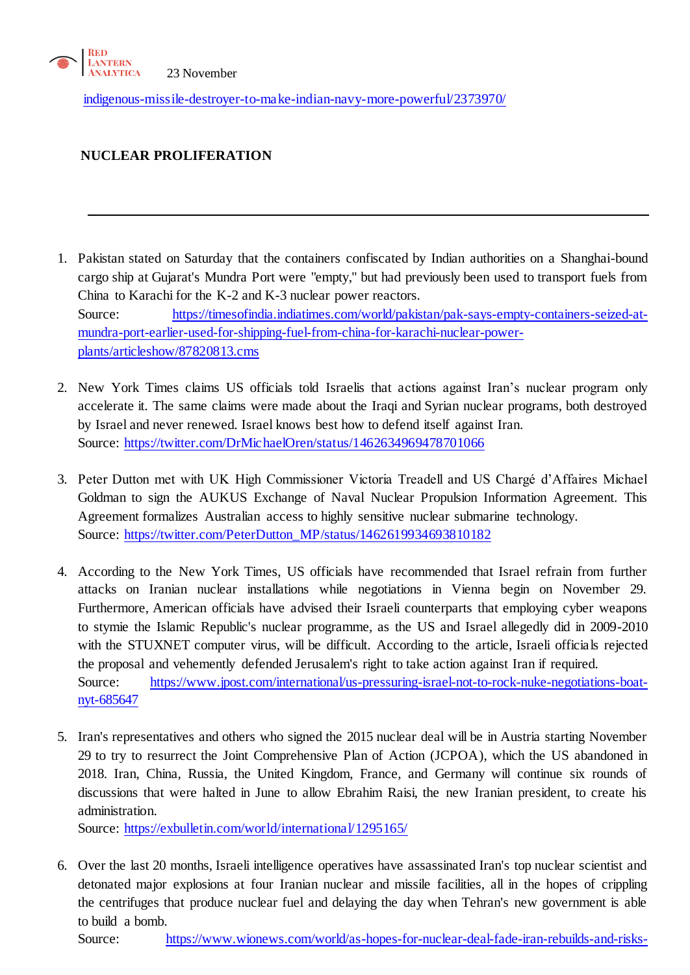

[indigenous-missile-destroyer-to-make-indian-navy-more-powerful/2373970/](https://www.financialexpress.com/defence/atmanirbhar-bharat-ins-visakhapatnam-indigenous-missile-destroyer-to-make-indian-navy-more-powerful/2373970/)

# **NUCLEAR PROLIFERATION**

- 1. Pakistan stated on Saturday that the containers confiscated by Indian authorities on a Shanghai-bound cargo ship at Gujarat's Mundra Port were "empty," but had previously been used to transport fuels from China to Karachi for the K-2 and K-3 nuclear power reactors. Source: [https://timesofindia.indiatimes.com/world/pakistan/pak-says-empty-containers-seized-at](https://timesofindia.indiatimes.com/world/pakistan/pak-says-empty-containers-seized-at-mundra-port-earlier-used-for-shipping-fuel-from-china-for-karachi-nuclear-power-plants/articleshow/87820813.cms)[mundra-port-earlier-used-for-shipping-fuel-from-china-for-karachi-nuclear-power](https://timesofindia.indiatimes.com/world/pakistan/pak-says-empty-containers-seized-at-mundra-port-earlier-used-for-shipping-fuel-from-china-for-karachi-nuclear-power-plants/articleshow/87820813.cms)[plants/articleshow/87820813.cms](https://timesofindia.indiatimes.com/world/pakistan/pak-says-empty-containers-seized-at-mundra-port-earlier-used-for-shipping-fuel-from-china-for-karachi-nuclear-power-plants/articleshow/87820813.cms)
- 2. New York Times claims US officials told Israelis that actions against Iran's nuclear program only accelerate it. The same claims were made about the Iraqi and Syrian nuclear programs, both destroyed by Israel and never renewed. Israel knows best how to defend itself against Iran. Source:<https://twitter.com/DrMichaelOren/status/1462634969478701066>
- 3. Peter Dutton met with UK High Commissioner Victoria Treadell and US Chargé d'Affaires Michael Goldman to sign the AUKUS Exchange of Naval Nuclear Propulsion Information Agreement. This Agreement formalizes Australian access to highly sensitive nuclear submarine technology. Source: [https://twitter.com/PeterDutton\\_MP/status/1462619934693810182](https://twitter.com/PeterDutton_MP/status/1462619934693810182)
- 4. According to the New York Times, US officials have recommended that Israel refrain from further attacks on Iranian nuclear installations while negotiations in Vienna begin on November 29. Furthermore, American officials have advised their Israeli counterparts that employing cyber weapons to stymie the Islamic Republic's nuclear programme, as the US and Israel allegedly did in 2009-2010 with the STUXNET computer virus, will be difficult. According to the article, Israeli officials rejected the proposal and vehemently defended Jerusalem's right to take action against Iran if required. Source: [https://www.jpost.com/international/us-pressuring-israel-not-to-rock-nuke-negotiations-boat](https://www.jpost.com/international/us-pressuring-israel-not-to-rock-nuke-negotiations-boat-nyt-685647)[nyt-685647](https://www.jpost.com/international/us-pressuring-israel-not-to-rock-nuke-negotiations-boat-nyt-685647)
- 5. Iran's representatives and others who signed the 2015 nuclear deal will be in Austria starting November 29 to try to resurrect the Joint Comprehensive Plan of Action (JCPOA), which the US abandoned in 2018. Iran, China, Russia, the United Kingdom, France, and Germany will continue six rounds of discussions that were halted in June to allow Ebrahim Raisi, the new Iranian president, to create his administration.

Source:<https://exbulletin.com/world/international/1295165/>

6. Over the last 20 months, Israeli intelligence operatives have assassinated Iran's top nuclear scientist and detonated major explosions at four Iranian nuclear and missile facilities, all in the hopes of crippling the centrifuges that produce nuclear fuel and delaying the day when Tehran's new government is able to build a bomb.

Source: [https://www.wionews.com/world/as-hopes-for-nuclear-deal-fade-iran-rebuilds-and-risks-](https://www.wionews.com/world/as-hopes-for-nuclear-deal-fade-iran-rebuilds-and-risks-grow-431186)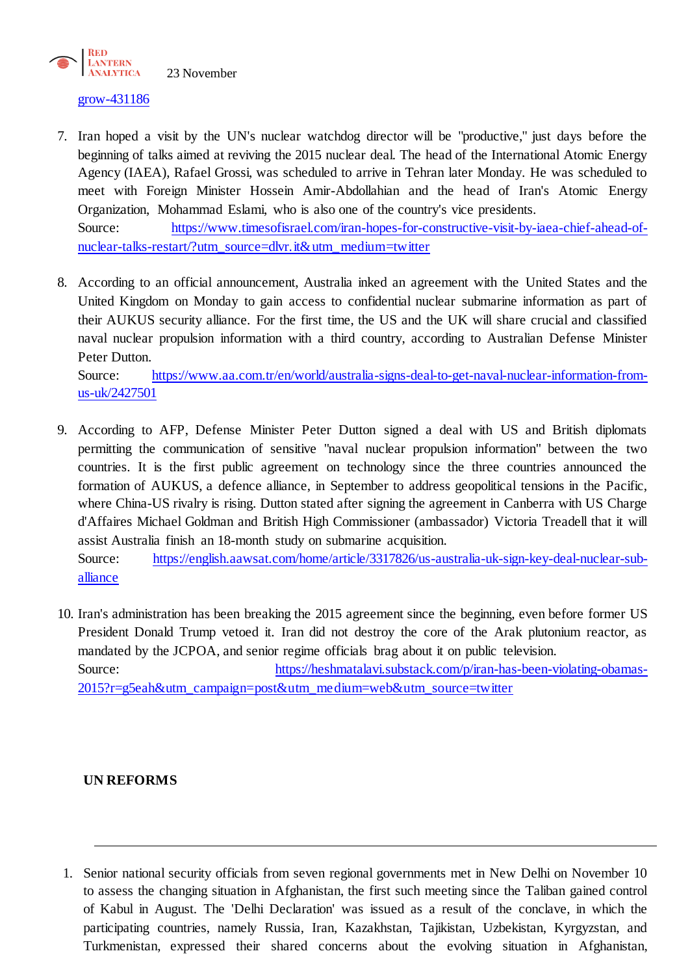

#### [grow-431186](https://www.wionews.com/world/as-hopes-for-nuclear-deal-fade-iran-rebuilds-and-risks-grow-431186)

- 7. Iran hoped a visit by the UN's nuclear watchdog director will be "productive," just days before the beginning of talks aimed at reviving the 2015 nuclear deal. The head of the International Atomic Energy Agency (IAEA), Rafael Grossi, was scheduled to arrive in Tehran later Monday. He was scheduled to meet with Foreign Minister Hossein Amir-Abdollahian and the head of Iran's Atomic Energy Organization, Mohammad Eslami, who is also one of the country's vice presidents. Source: [https://www.timesofisrael.com/iran-hopes-for-constructive-visit-by-iaea-chief-ahead-of](https://www.timesofisrael.com/iran-hopes-for-constructive-visit-by-iaea-chief-ahead-of-nuclear-talks-restart/?utm_source=dlvr.it&utm_medium=twitter)[nuclear-talks-restart/?utm\\_source=dlvr.it&utm\\_medium=twitter](https://www.timesofisrael.com/iran-hopes-for-constructive-visit-by-iaea-chief-ahead-of-nuclear-talks-restart/?utm_source=dlvr.it&utm_medium=twitter)
- 8. According to an official announcement, Australia inked an agreement with the United States and the United Kingdom on Monday to gain access to confidential nuclear submarine information as part of their AUKUS security alliance. For the first time, the US and the UK will share crucial and classified naval nuclear propulsion information with a third country, according to Australian Defense Minister Peter Dutton.

Source: [https://www.aa.com.tr/en/world/australia-signs-deal-to-get-naval-nuclear-information-from](https://www.aa.com.tr/en/world/australia-signs-deal-to-get-naval-nuclear-information-from-us-uk/2427501)[us-uk/2427501](https://www.aa.com.tr/en/world/australia-signs-deal-to-get-naval-nuclear-information-from-us-uk/2427501)

9. According to AFP, Defense Minister Peter Dutton signed a deal with US and British diplomats permitting the communication of sensitive "naval nuclear propulsion information" between the two countries. It is the first public agreement on technology since the three countries announced the formation of AUKUS, a defence alliance, in September to address geopolitical tensions in the Pacific, where China-US rivalry is rising. Dutton stated after signing the agreement in Canberra with US Charge d'Affaires Michael Goldman and British High Commissioner (ambassador) Victoria Treadell that it will assist Australia finish an 18-month study on submarine acquisition. Source: [https://english.aawsat.com/home/article/3317826/us-australia-uk-sign-key-deal-nuclear-sub-](https://english.aawsat.com/home/article/3317826/us-australia-uk-sign-key-deal-nuclear-sub-alliance)

[alliance](https://english.aawsat.com/home/article/3317826/us-australia-uk-sign-key-deal-nuclear-sub-alliance)

10. Iran's administration has been breaking the 2015 agreement since the beginning, even before former US President Donald Trump vetoed it. Iran did not destroy the core of the Arak plutonium reactor, as mandated by the JCPOA, and senior regime officials brag about it on public television. Source: [https://heshmatalavi.substack.com/p/iran-has-been-violating-obamas-](https://heshmatalavi.substack.com/p/iran-has-been-violating-obamas-2015?r=g5eah&utm_campaign=post&utm_medium=web&utm_source=twitter)[2015?r=g5eah&utm\\_campaign=post&utm\\_medium=web&utm\\_source=twitter](https://heshmatalavi.substack.com/p/iran-has-been-violating-obamas-2015?r=g5eah&utm_campaign=post&utm_medium=web&utm_source=twitter)

## **UN REFORMS**

1. Senior national security officials from seven regional governments met in New Delhi on November 10 to assess the changing situation in Afghanistan, the first such meeting since the Taliban gained control of Kabul in August. The 'Delhi Declaration' was issued as a result of the conclave, in which the participating countries, namely Russia, Iran, Kazakhstan, Tajikistan, Uzbekistan, Kyrgyzstan, and Turkmenistan, expressed their shared concerns about the evolving situation in Afghanistan,